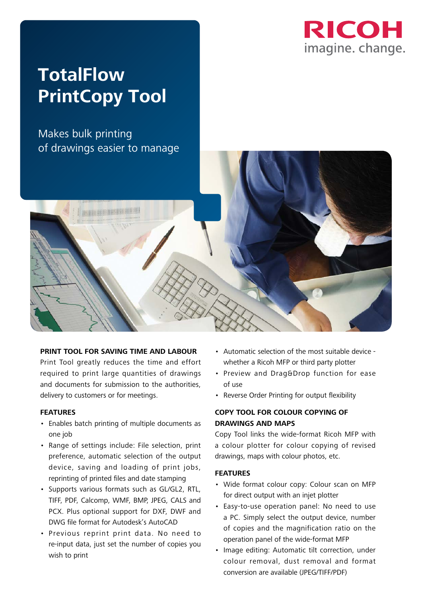

# **TotalFlow PrintCopy Tool**

Makes bulk printing of drawings easier to manage



#### **PRINT TOOL FOR SAVING TIME AND LABOUR**

Print Tool greatly reduces the time and effort required to print large quantities of drawings and documents for submission to the authorities, delivery to customers or for meetings.

#### **FEATURES**

- Enables batch printing of multiple documents as one job
- Range of settings include: File selection, print preference, automatic selection of the output device, saving and loading of print jobs, reprinting of printed files and date stamping
- Supports various formats such as GL/GL2, RTL, TIFF, PDF, Calcomp, WMF, BMP, JPEG, CALS and PCX. Plus optional support for DXF, DWF and DWG file format for Autodesk's AutoCAD
- Previous reprint print data. No need to re-input data, just set the number of copies you wish to print
- Automatic selection of the most suitable device whether a Ricoh MFP or third party plotter
- Preview and Drag&Drop function for ease of use
- Reverse Order Printing for output flexibility

### **COPY TOOL FOR COLOUR COPYING OF DRAWINGS AND MAPS**

Copy Tool links the wide-format Ricoh MFP with a colour plotter for colour copying of revised drawings, maps with colour photos, etc.

#### **FEATURES**

- Wide format colour copy: Colour scan on MFP for direct output with an injet plotter
- Easy-to-use operation panel: No need to use a PC. Simply select the output device, number of copies and the magnification ratio on the operation panel of the wide-format MFP
- Image editing: Automatic tilt correction, under colour removal, dust removal and format conversion are available (JPEG/TIFF/PDF)